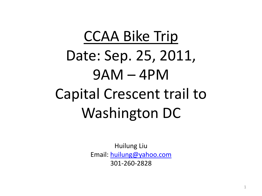# CCAA Bike Trip Date: Sep. 25, 2011, 9AM – 4PM Capital Crescent trail to Washington DC

Huilung Liu Email: [huilung@yahoo.com](mailto:huilung@yahoo.com) 301-260-2828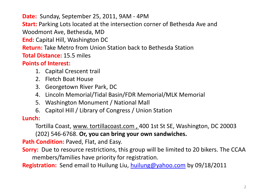**Date:** Sunday, September 25, 2011, 9AM - 4PM

**Start:** Parking Lots located at the intersection corner of Bethesda Ave and

Woodmont Ave, Bethesda, MD

**End:** Capital Hill, Washington DC

**Return:** Take Metro from Union Station back to Bethesda Station

**Total Distance:** 15.5 miles

#### **Points of Interest:**

- 1. Capital Crescent trail
- 2. Fletch Boat House
- 3. Georgetown River Park, DC
- 4. Lincoln Memorial/Tidal Basin/FDR Memorial/MLK Memorial
- 5. Washington Monument / National Mall
- 6. Capitol Hill / Library of Congress / Union Station

**Lunch:**

Tortilla Coast, www. tortillacoast.com , 400 1st St SE, Washington, DC 20003 (202) 546-6768. **Or, you can bring your own sandwiches.**

**Path Condition: Paved, Flat, and Easy.** 

**Sorry:** Due to resource restrictions, this group will be limited to 20 bikers. The CCAA members/families have priority for registration.

**Registration:** Send email to Huilung Liu, [huilung@yahoo.com](mailto:huilung@yahoo.com) by 09/18/2011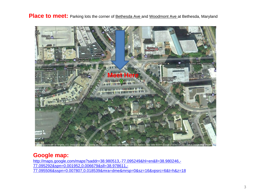**Place to meet:** Parking lots the corner of **Bethesda Ave and Woodmont Ave at Bethesda**, Maryland



#### **Google map:**

[http://maps.google.com/maps?saddr=38.980513,-77.095249&hl=en&ll=38.980246,-](http://maps.google.com/maps?saddr=38.980513,-77.095249&hl=en&ll=38.980246,-77.095292&spn=0.001952,0.006679&sll=38.978611,-77.095506&sspn=0.007807,0.018539&mra=dme&mrsp=0&sz=16&vpsrc=6&t=h&z=18) [77.095292&spn=0.001952,0.006679&sll=38.978611,-](http://maps.google.com/maps?saddr=38.980513,-77.095249&hl=en&ll=38.980246,-77.095292&spn=0.001952,0.006679&sll=38.978611,-77.095506&sspn=0.007807,0.018539&mra=dme&mrsp=0&sz=16&vpsrc=6&t=h&z=18) [77.095506&sspn=0.007807,0.018539&mra=dme&mrsp=0&sz=16&vpsrc=6&t=h&z=18](http://maps.google.com/maps?saddr=38.980513,-77.095249&hl=en&ll=38.980246,-77.095292&spn=0.001952,0.006679&sll=38.978611,-77.095506&sspn=0.007807,0.018539&mra=dme&mrsp=0&sz=16&vpsrc=6&t=h&z=18)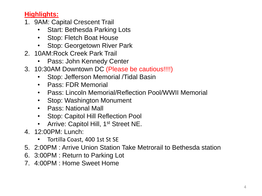### **Highlights:**

- 1. 9AM: Capital Crescent Trail
	- Start: Bethesda Parking Lots
	- Stop: Fletch Boat House
	- Stop: Georgetown River Park
- 2. 10AM:Rock Creek Park Trail
	- Pass: John Kennedy Center
- 3. 10:30AM Downtown DC (Please be cautious!!!!)
	- Stop: Jefferson Memorial /Tidal Basin
	- Pass: FDR Memorial
	- Pass: Lincoln Memorial/Reflection Pool/WWII Memorial
	- Stop: Washington Monument
	- Pass: National Mall
	- Stop: Capitol Hill Reflection Pool
	- Arrive: Capitol Hill, 1<sup>st</sup> Street NE.
- 4. 12:00PM: Lunch:
	- Tortilla Coast, 400 1st St SE
- 5. 2:00PM : Arrive Union Station Take Metrorail to Bethesda station
- 6. 3:00PM : Return to Parking Lot
- 7. 4:00PM : Home Sweet Home